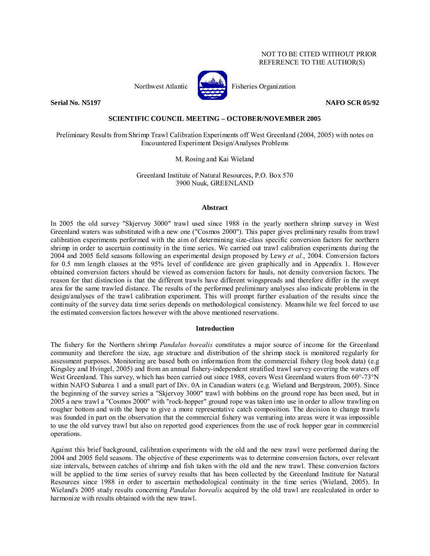## NOT TO BE CITED WITHOUT PRIOR REFERENCE TO THE AUTHOR(S)



Northwest Atlantic **Atlantic** Fisheries Organization

**Serial No. N5197 NAFO SCR 05/92 NAFO SCR 05/92** 

## **SCIENTIFIC COUNCIL MEETING – OCTOBER/NOVEMBER 2005**

Preliminary Results from Shrimp Trawl Calibration Experiments off West Greenland (2004, 2005) with notes on Encountered Experiment Design/Analyses Problems

M. Rosing and Kai Wieland

Greenland Institute of Natural Resources, P.O. Box 570 3900 Nuuk, GREENLAND

## **Abstract**

In 2005 the old survey "Skjervoy 3000" trawl used since 1988 in the yearly northern shrimp survey in West Greenland waters was substituted with a new one ("Cosmos 2000"). This paper gives preliminary results from trawl calibration experiments performed with the aim of determining size-class specific conversion factors for northern shrimp in order to ascertain continuity in the time series. We carried out trawl calibration experiments during the 2004 and 2005 field seasons following an experimental design proposed by Lewy *et al*., 2004. Conversion factors for 0.5 mm length classes at the 95% level of confidence are given graphically and in Appendix 1. However obtained conversion factors should be viewed as conversion factors for hauls, not density conversion factors. The reason for that distinction is that the different trawls have different wingspreads and therefore differ in the swept area for the same trawled distance. The results of the performed preliminary analyses also indicate problems in the design/analyses of the trawl calibration experiment. This will prompt further evaluation of the results since the continuity of the survey data time series depends on methodological consistency. Meanwhile we feel forced to use the estimated conversion factors however with the above mentioned reservations.

## **Introduction**

The fishery for the Northern shrimp *Pandalus borealis* constitutes a major source of income for the Greenland community and therefore the size, age structure and distribution of the shrimp stock is monitored regularly for assessment purposes. Monitoring are based both on information from the commercial fishery (log book data) (e.g Kingsley and Hvingel, 2005) and from an annual fishery-independent stratified trawl survey covering the waters off West Greenland. This survey, which has been carried out since 1988, covers West Greenland waters from 60°-73°N within NAFO Subarea 1 and a small part of Div. 0A in Canadian waters (e.g. Wieland and Bergstrøm, 2005). Since the beginning of the survey series a "Skjervoy 3000" trawl with bobbins on the ground rope has been used, but in 2005 a new trawl a "Cosmos 2000" with "rock-hopper" ground rope was taken into use in order to allow trawling on rougher bottom and with the hope to give a more representative catch composition. The decision to change trawls was founded in part on the observation that the commercial fishery was venturing into areas were it was impossible to use the old survey trawl but also on reported good experiences from the use of rock hopper gear in commercial operations.

Against this brief background, calibration experiments with the old and the new trawl were performed during the 2004 and 2005 field seasons. The objective of these experiments was to determine conversion factors, over relevant size intervals, between catches of shrimp and fish taken with the old and the new trawl. These conversion factors will be applied to the time series of survey results that has been collected by the Greenland Institute for Natural Resources since 1988 in order to ascertain methodological continuity in the time series (Wieland, 2005). In Wieland's 2005 study results concerning *Pandalus borealis* acquired by the old trawl are recalculated in order to harmonize with results obtained with the new trawl.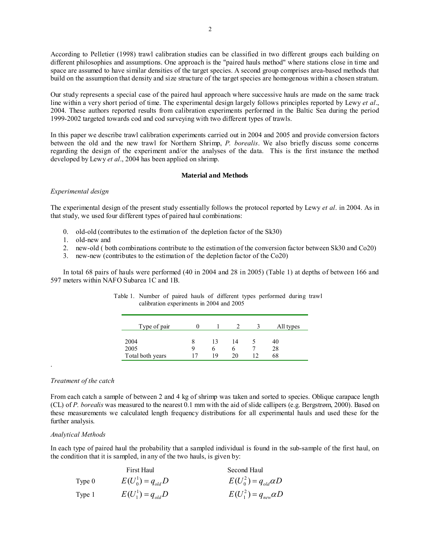According to Pelletier (1998) trawl calibration studies can be classified in two different groups each building on different philosophies and assumptions. One approach is the "paired hauls method" where stations close in time and space are assumed to have similar densities of the target species. A second group comprises area-based methods that build on the assumption that density and size structure of the target species are homogenous within a chosen stratum.

Our study represents a special case of the paired haul approach where successive hauls are made on the same track line within a very short period of time. The experimental design largely follows principles reported by Lewy *et al*., 2004. These authors reported results from calibration experiments performed in the Baltic Sea during the period 1999-2002 targeted towards cod and cod surveying with two different types of trawls.

In this paper we describe trawl calibration experiments carried out in 2004 and 2005 and provide conversion factors between the old and the new trawl for Northern Shrimp, *P. borealis*. We also briefly discuss some concerns regarding the design of the experiment and/or the analyses of the data. This is the first instance the method developed by Lewy *et al*., 2004 has been applied on shrimp.

## **Material and Methods**

## *Experimental design*

The experimental design of the present study essentially follows the protocol reported by Lewy *et al*. in 2004. As in that study, we used four different types of paired haul combinations:

- 0. old-old (contributes to the estimation of the depletion factor of the Sk30)
- 1. old-new and
- 2. new-old ( both combinations contribute to the estimation of the conversion factor between Sk30 and Co20)
- 3. new-new (contributes to the estimation of the depletion factor of the Co20)

In total 68 pairs of hauls were performed (40 in 2004 and 28 in 2005) (Table 1) at depths of between 166 and 597 meters within NAFO Subarea 1C and 1B.

| Type of pair     |   |    |    | All types |
|------------------|---|----|----|-----------|
| 2004             | 8 |    | 14 | 40        |
| 2005             | Q |    |    | 28        |
| Total both years |   | 19 | 20 | 68        |

Table 1. Number of paired hauls of different types performed during trawl calibration experiments in 2004 and 2005

## *Treatment of the catch*

.

From each catch a sample of between 2 and 4 kg of shrimp was taken and sorted to species. Oblique carapace length (CL) of *P. borealis* was measured to the nearest 0.1 mm with the aid of slide callipers (e.g. Bergstrøm, 2000). Based on these measurements we calculated length frequency distributions for all experimental hauls and used these for the further analysis.

## *Analytical Methods*

In each type of paired haul the probability that a sampled individual is found in the sub-sample of the first haul, on the condition that it is sampled, in any of the two hauls, is given by:

|          | First Haul            | Second Haul                   |
|----------|-----------------------|-------------------------------|
| Type $0$ | $E(U_0^1) = q_{old}D$ | $E(U_0^2) = q_{old} \alpha D$ |
| Type 1   | $E(U_1^1) = q_{old}D$ | $E(U_1^2) = q_{new}\alpha D$  |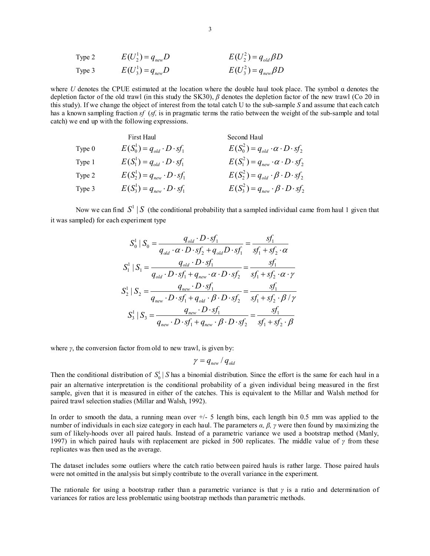| Type 2 | $E(U_2^1) = q_{new}D$ | $E(U_2^2) = q_{old}\beta D$ |
|--------|-----------------------|-----------------------------|
| Type 3 | $E(U_3^1) = q_{new}D$ | $E(U_3^2) = q_{new}\beta D$ |

where *U* denotes the CPUE estimated at the location where the double haul took place. The symbol α denotes the depletion factor of the old trawl (in this study the SK30), *β* denotes the depletion factor of the new trawl (Co 20 in this study). If we change the object of interest from the total catch U to the sub-sample *S* and assume that each catch has a known sampling fraction *sf* (*sf,* is in pragmatic terms the ratio between the weight of the sub-sample and total catch) we end up with the following expressions.

|          | First Haul                              | Second Haul                                          |
|----------|-----------------------------------------|------------------------------------------------------|
| Type $0$ | $E(S_0^1) = q_{old} \cdot D \cdot sf_1$ | $E(S_0^2) = q_{old} \cdot \alpha \cdot D \cdot sf_2$ |
| Type 1   | $E(S_1^1) = q_{old} \cdot D \cdot sf_1$ | $E(S_1^2) = q_{new} \cdot \alpha \cdot D \cdot sf_2$ |
| Type 2   | $E(S_2^1) = q_{new} \cdot D \cdot sf_1$ | $E(S_2^2) = q_{old} \cdot \beta \cdot D \cdot sf_2$  |
| Type 3   | $E(S_3^1) = q_{new} \cdot D \cdot sf_1$ | $E(S_3^2) = q_{new} \cdot \beta \cdot D \cdot sf_2$  |

Now we can find  $S^1 \mid S$  (the conditional probability that a sampled individual came from haul 1 given that it was sampled) for each experiment type

$$
S_0^1 | S_0 = \frac{q_{old} \cdot D \cdot sf_1}{q_{old} \cdot \alpha \cdot D \cdot sf_2 + q_{old} D \cdot sf_1} = \frac{sf_1}{sf_1 + sf_2 \cdot \alpha}
$$
  

$$
S_1^1 | S_1 = \frac{q_{old} \cdot D \cdot sf_1}{q_{old} \cdot D \cdot sf_1 + q_{new} \cdot \alpha \cdot D \cdot sf_2} = \frac{sf_1}{sf_1 + sf_2 \cdot \alpha \cdot \gamma}
$$
  

$$
S_2^1 | S_2 = \frac{q_{new} \cdot D \cdot sf_1}{q_{new} \cdot D \cdot sf_1 + q_{old} \cdot \beta \cdot D \cdot sf_2} = \frac{sf_1}{sf_1 + sf_2 \cdot \beta \cdot \gamma}
$$
  

$$
S_3^1 | S_3 = \frac{q_{new} \cdot D \cdot sf_1}{q_{new} \cdot D \cdot sf_1 + q_{new} \cdot \beta \cdot D \cdot sf_2} = \frac{sf_1}{sf_1 + sf_2 \cdot \beta \cdot \gamma}
$$

where  $\gamma$ , the conversion factor from old to new trawl, is given by:

$$
\gamma = q_{\rm new} / q_{\rm old}
$$

Then the conditional distribution of  $S_0^1 \mid S$  has a binomial distribution. Since the effort is the same for each haul in a pair an alternative interpretation is the conditional probability of a given individual being measured in the first sample, given that it is measured in either of the catches. This is equivalent to the Millar and Walsh method for paired trawl selection studies (Millar and Walsh, 1992).

In order to smooth the data, a running mean over  $+/-$  5 length bins, each length bin 0.5 mm was applied to the number of individuals in each size category in each haul. The parameters *α, β, γ* were then found by maximizing the sum of likely-hoods over all paired hauls. Instead of a parametric variance we used a bootstrap method (Manly, 1997) in which paired hauls with replacement are picked in 500 replicates. The middle value of *γ* from these replicates was then used as the average.

The dataset includes some outliers where the catch ratio between paired hauls is rather large. Those paired hauls were not omitted in the analysis but simply contribute to the overall variance in the experiment.

The rationale for using a bootstrap rather than a parametric variance is that *γ* is a ratio and determination of variances for ratios are less problematic using bootstrap methods than parametric methods.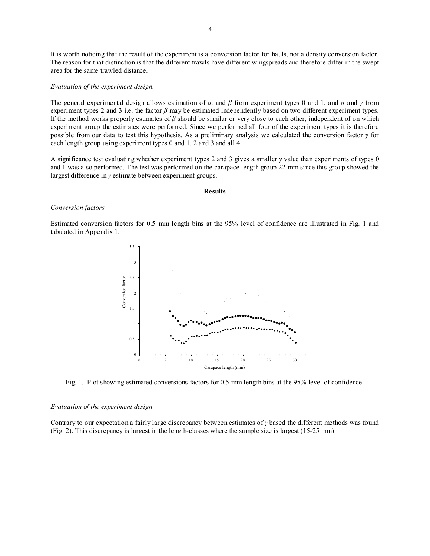It is worth noticing that the result of the experiment is a conversion factor for hauls, not a density conversion factor. The reason for that distinction is that the different trawls have different wingspreads and therefore differ in the swept area for the same trawled distance.

### *Evaluation of the experiment design.*

The general experimental design allows estimation of  $\alpha$ , and  $\beta$  from experiment types 0 and 1, and  $\alpha$  and  $\gamma$  from experiment types 2 and 3 i.e. the factor *β* may be estimated independently based on two different experiment types. If the method works properly estimates of *β* should be similar or very close to each other, independent of on which experiment group the estimates were performed. Since we performed all four of the experiment types it is therefore possible from our data to test this hypothesis. As a preliminary analysis we calculated the conversion factor *γ* for each length group using experiment types 0 and 1, 2 and 3 and all 4.

A significance test evaluating whether experiment types 2 and 3 gives a smaller *γ* value than experiments of types 0 and 1 was also performed. The test was performed on the carapace length group 22 mm since this group showed the largest difference in *γ* estimate between experiment groups.

#### **Results**

## *Conversion factors*

Estimated conversion factors for 0.5 mm length bins at the 95% level of confidence are illustrated in Fig. 1 and tabulated in Appendix 1.



Fig. 1. Plot showing estimated conversions factors for 0.5 mm length bins at the 95% level of confidence.

### *Evaluation of the experiment design*

Contrary to our expectation a fairly large discrepancy between estimates of *γ* based the different methods was found (Fig. 2). This discrepancy is largest in the length-classes where the sample size is largest (15-25 mm).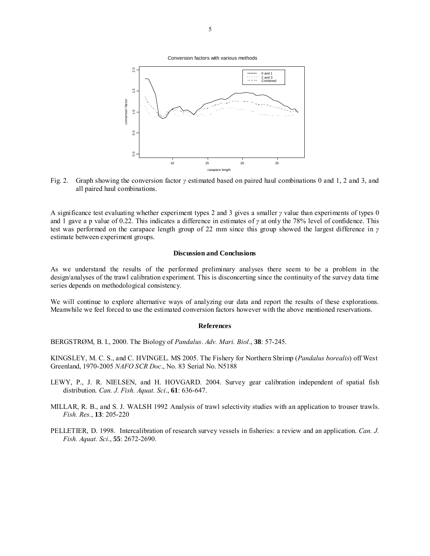Conversion factors with various methods



Fig. 2. Graph showing the conversion factor *γ* estimated based on paired haul combinations 0 and 1, 2 and 3, and all paired haul combinations.

A significance test evaluating whether experiment types 2 and 3 gives a smaller *γ* value than experiments of types 0 and 1 gave a p value of 0.22. This indicates a difference in estimates of *γ* at only the 78% level of confidence. This test was performed on the carapace length group of 22 mm since this group showed the largest difference in *γ* estimate between experiment groups.

## **Discussion and Conclusions**

As we understand the results of the performed preliminary analyses there seem to be a problem in the design/analyses of the trawl calibration experiment. This is disconcerting since the continuity of the survey data time series depends on methodological consistency.

We will continue to explore alternative ways of analyzing our data and report the results of these explorations. Meanwhile we feel forced to use the estimated conversion factors however with the above mentioned reservations.

#### **References**

BERGSTRØM, B. I., 2000. The Biology of *Pandalus*. *Adv. Mari. Biol*., **38**: 57-245.

KINGSLEY, M. C. S., and C. HVINGEL. MS 2005. The Fishery for Northern Shrimp (*Pandalus borealis*) off West Greenland, 1970-2005 *NAFO SCR Doc*., No. 83 Serial No. N5188

- LEWY, P., J. R. NIELSEN, and H. HOVGARD. 2004. Survey gear calibration independent of spatial fish distribution. *Can. J. Fish. Aquat. Sci*., **61**: 636-647.
- MILLAR, R. B., and S. J. WALSH 1992 Analysis of trawl selectivity studies with an application to trouser trawls. *Fish. Res.*, **13**: 205-220
- PELLETIER, D. 1998. Intercalibration of research survey vessels in fisheries: a review and an application. *Can. J. Fish. Aquat. Sci*., **55**: 2672-2690.